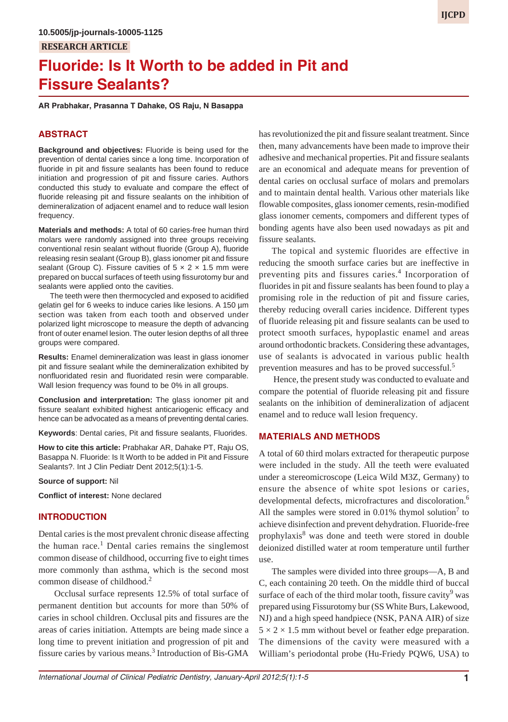# **Fluoride: Is It Worth to be added in Pit and Fissure Sealants?**

**AR Prabhakar, Prasanna T Dahake, OS Raju, N Basappa**

# **ABSTRACT**

**Background and objectives:** Fluoride is being used for the prevention of dental caries since a long time. Incorporation of fluoride in pit and fissure sealants has been found to reduce initiation and progression of pit and fissure caries. Authors conducted this study to evaluate and compare the effect of fluoride releasing pit and fissure sealants on the inhibition of demineralization of adjacent enamel and to reduce wall lesion frequency.

**Materials and methods:** A total of 60 caries-free human third molars were randomly assigned into three groups receiving conventional resin sealant without fluoride (Group A), fluoride releasing resin sealant (Group B), glass ionomer pit and fissure sealant (Group C). Fissure cavities of  $5 \times 2 \times 1.5$  mm were prepared on buccal surfaces of teeth using fissurotomy bur and sealants were applied onto the cavities.

The teeth were then thermocycled and exposed to acidified gelatin gel for 6 weeks to induce caries like lesions. A 150 µm section was taken from each tooth and observed under polarized light microscope to measure the depth of advancing front of outer enamel lesion. The outer lesion depths of all three groups were compared.

**Results:** Enamel demineralization was least in glass ionomer pit and fissure sealant while the demineralization exhibited by nonfluoridated resin and fluoridated resin were comparable. Wall lesion frequency was found to be 0% in all groups.

**Conclusion and interpretation:** The glass ionomer pit and fissure sealant exhibited highest anticariogenic efficacy and hence can be advocated as a means of preventing dental caries.

**Keywords**: Dental caries, Pit and fissure sealants, Fluorides.

**How to cite this article:** Prabhakar AR, Dahake PT, Raju OS, Basappa N. Fluoride: Is It Worth to be added in Pit and Fissure Sealants?. Int J Clin Pediatr Dent 2012;5(1):1-5.

#### **Source of support:** Nil

**Conflict of interest:** None declared

# **INTRODUCTION**

Dental caries is the most prevalent chronic disease affecting the human race.<sup>1</sup> Dental caries remains the singlemost common disease of childhood, occurring five to eight times more commonly than asthma, which is the second most common disease of childhood.2

 Occlusal surface represents 12.5% of total surface of permanent dentition but accounts for more than 50% of caries in school children. Occlusal pits and fissures are the areas of caries initiation. Attempts are being made since a long time to prevent initiation and progression of pit and fissure caries by various means.<sup>3</sup> Introduction of Bis-GMA

has revolutionized the pit and fissure sealant treatment. Since then, many advancements have been made to improve their adhesive and mechanical properties. Pit and fissure sealants are an economical and adequate means for prevention of dental caries on occlusal surface of molars and premolars and to maintain dental health. Various other materials like flowable composites, glass ionomer cements, resin-modified glass ionomer cements, compomers and different types of bonding agents have also been used nowadays as pit and fissure sealants.

The topical and systemic fluorides are effective in reducing the smooth surface caries but are ineffective in preventing pits and fissures caries.<sup>4</sup> Incorporation of fluorides in pit and fissure sealants has been found to play a promising role in the reduction of pit and fissure caries, thereby reducing overall caries incidence. Different types of fluoride releasing pit and fissure sealants can be used to protect smooth surfaces, hypoplastic enamel and areas around orthodontic brackets. Considering these advantages, use of sealants is advocated in various public health prevention measures and has to be proved successful.<sup>5</sup>

 Hence, the present study was conducted to evaluate and compare the potential of fluoride releasing pit and fissure sealants on the inhibition of demineralization of adjacent enamel and to reduce wall lesion frequency.

# **MATERIALS AND METHODS**

A total of 60 third molars extracted for therapeutic purpose were included in the study. All the teeth were evaluated under a stereomicroscope (Leica Wild M3Z, Germany) to ensure the absence of white spot lesions or caries, developmental defects, microfractures and discoloration.<sup>6</sup> All the samples were stored in 0.01% thymol solution<sup>7</sup> to achieve disinfection and prevent dehydration. Fluoride-free prophylaxis<sup>8</sup> was done and teeth were stored in double deionized distilled water at room temperature until further use.

The samples were divided into three groups—A, B and C, each containing 20 teeth. On the middle third of buccal surface of each of the third molar tooth, fissure cavity<sup>9</sup> was prepared using Fissurotomy bur (SS White Burs, Lakewood, NJ) and a high speed handpiece (NSK, PANA AIR) of size  $5 \times 2 \times 1.5$  mm without bevel or feather edge preparation. The dimensions of the cavity were measured with a William's periodontal probe (Hu-Friedy PQW6, USA) to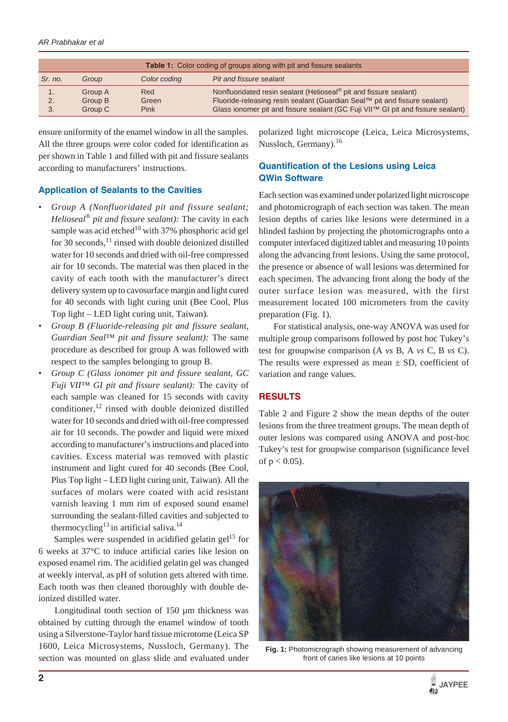| <b>Table 1:</b> Color coding of groups along with pit and fissure sealants |         |              |                                                                                 |  |  |
|----------------------------------------------------------------------------|---------|--------------|---------------------------------------------------------------------------------|--|--|
| Sr. no.                                                                    | Group   | Color coding | Pit and fissure sealant                                                         |  |  |
| 1.                                                                         | Group A | Red          | Nonfluoridated resin sealant (Helioseal <sup>®</sup> pit and fissure sealant)   |  |  |
| 2.                                                                         | Group B | Green        | Fluoride-releasing resin sealant (Guardian Seal™ pit and fissure sealant)       |  |  |
| 3.                                                                         | Group C | Pink         | Glass ionomer pit and fissure sealant (GC Fuji VII™ GI pit and fissure sealant) |  |  |

ensure uniformity of the enamel window in all the samples. All the three groups were color coded for identification as per shown in Table 1 and filled with pit and fissure sealants according to manufacturers' instructions.

## **Application of Sealants to the Cavities**

- *Group A (Nonfluoridated pit and fissure sealant; Helioseal® pit and fissure sealant):* The cavity in each sample was acid etched<sup>10</sup> with 37% phosphoric acid gel for 30 seconds, $^{11}$  rinsed with double deionized distilled water for 10 seconds and dried with oil-free compressed air for 10 seconds. The material was then placed in the cavity of each tooth with the manufacturer's direct delivery system up to cavosurface margin and light cured for 40 seconds with light curing unit (Bee Cool, Plus Top light – LED light curing unit, Taiwan).
- *Group B (Fluoride-releasing pit and fissure sealant, Guardian Seal™ pit and fissure sealant):* The same procedure as described for group A was followed with respect to the samples belonging to group B.
- *Group C (Glass ionomer pit and fissure sealant, GC Fuji VII™ GI pit and fissure sealant):* The cavity of each sample was cleaned for 15 seconds with cavity conditioner,<sup>12</sup> rinsed with double deionized distilled water for 10 seconds and dried with oil-free compressed air for 10 seconds. The powder and liquid were mixed according to manufacturer's instructions and placed into cavities. Excess material was removed with plastic instrument and light cured for 40 seconds (Bee Cool, Plus Top light – LED light curing unit, Taiwan). All the surfaces of molars were coated with acid resistant varnish leaving 1 mm rim of exposed sound enamel surrounding the sealant-filled cavities and subjected to thermocycling<sup>13</sup> in artificial saliva.<sup>14</sup>

Samples were suspended in acidified gelatin gel<sup>15</sup> for 6 weeks at 37°C to induce artificial caries like lesion on exposed enamel rim. The acidified gelatin gel was changed at weekly interval, as pH of solution gets altered with time. Each tooth was then cleaned thoroughly with double deionized distilled water.

 Longitudinal tooth section of 150 µm thickness was obtained by cutting through the enamel window of tooth using a Silverstone-Taylor hard tissue microtome (Leica SP 1600, Leica Microsystems, Nussloch, Germany). The section was mounted on glass slide and evaluated under

polarized light microscope (Leica, Leica Microsystems, Nussloch, Germany).<sup>16</sup>

# **Quantification of the Lesions using Leica QWin Software**

Each section was examined under polarized light microscope and photomicrograph of each section was taken. The mean lesion depths of caries like lesions were determined in a blinded fashion by projecting the photomicrographs onto a computer interfaced digitized tablet and measuring 10 points along the advancing front lesions. Using the same protocol, the presence or absence of wall lesions was determined for each specimen. The advancing front along the body of the outer surface lesion was measured, with the first measurement located 100 micrometers from the cavity preparation (Fig. 1).

 For statistical analysis, one-way ANOVA was used for multiple group comparisons followed by post hoc Tukey's test for groupwise comparison (A *vs* B, A *vs* C, B *vs* C). The results were expressed as mean  $\pm$  SD, coefficient of variation and range values.

# **RESULTS**

Table 2 and Figure 2 show the mean depths of the outer lesions from the three treatment groups. The mean depth of outer lesions was compared using ANOVA and post-hoc Tukey's test for groupwise comparison (significance level of  $p < 0.05$ ).



**Fig. 1:** Photomicrograph showing measurement of advancing front of caries like lesions at 10 points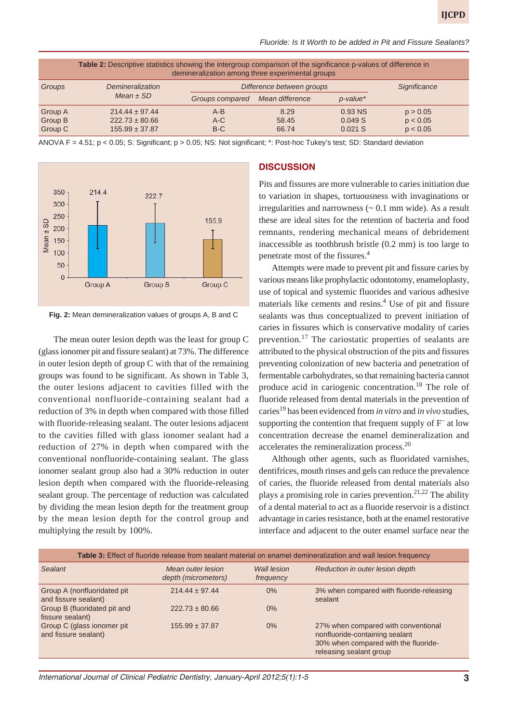| Fluoride: Is It Worth to be added in Pit and Fissure Sealants? |  |  |  |
|----------------------------------------------------------------|--|--|--|
|----------------------------------------------------------------|--|--|--|

| Table 2: Descriptive statistics showing the intergroup comparison of the significance p-values of difference in<br>demineralization among three experimental groups |                                                                |                           |                        |                                |                                  |  |
|---------------------------------------------------------------------------------------------------------------------------------------------------------------------|----------------------------------------------------------------|---------------------------|------------------------|--------------------------------|----------------------------------|--|
| Groups                                                                                                                                                              | Demineralization                                               | Difference between groups |                        |                                | Significance                     |  |
|                                                                                                                                                                     | Mean $\pm$ SD                                                  | Groups compared           | Mean difference        | $p$ -value*                    |                                  |  |
| Group A<br>Group B<br>Group C                                                                                                                                       | $214.44 \pm 97.44$<br>$222.73 \pm 80.66$<br>$155.99 \pm 37.87$ | $A-B$<br>$A-C$<br>$B-C$   | 8.29<br>58.45<br>66.74 | 0.93 NS<br>0.049S<br>$0.021$ S | p > 0.05<br>p < 0.05<br>p < 0.05 |  |

ANOVA F = 4.51; p < 0.05; S: Significant; p > 0.05; NS: Not significant; \*: Post-hoc Tukey's test; SD: Standard deviation





 The mean outer lesion depth was the least for group C (glass ionomer pit and fissure sealant) at 73%. The difference in outer lesion depth of group C with that of the remaining groups was found to be significant. As shown in Table 3, the outer lesions adjacent to cavities filled with the conventional nonfluoride-containing sealant had a reduction of 3% in depth when compared with those filled with fluoride-releasing sealant. The outer lesions adjacent to the cavities filled with glass ionomer sealant had a reduction of 27% in depth when compared with the conventional nonfluoride-containing sealant. The glass ionomer sealant group also had a 30% reduction in outer lesion depth when compared with the fluoride-releasing sealant group. The percentage of reduction was calculated by dividing the mean lesion depth for the treatment group by the mean lesion depth for the control group and multiplying the result by 100%.

## **DISCUSSION**

Pits and fissures are more vulnerable to caries initiation due to variation in shapes, tortuousness with invaginations or irregularities and narrowness  $($   $\sim$  0.1 mm wide). As a result these are ideal sites for the retention of bacteria and food remnants, rendering mechanical means of debridement inaccessible as toothbrush bristle (0.2 mm) is too large to penetrate most of the fissures.4

Attempts were made to prevent pit and fissure caries by various means like prophylactic odontotomy, enameloplasty, use of topical and systemic fluorides and various adhesive materials like cements and resins.<sup>4</sup> Use of pit and fissure sealants was thus conceptualized to prevent initiation of caries in fissures which is conservative modality of caries prevention.<sup>17</sup> The cariostatic properties of sealants are attributed to the physical obstruction of the pits and fissures preventing colonization of new bacteria and penetration of fermentable carbohydrates, so that remaining bacteria cannot produce acid in cariogenic concentration.<sup>18</sup> The role of fluoride released from dental materials in the prevention of caries<sup>19</sup> has been evidenced from *in vitro* and *in vivo* studies, supporting the contention that frequent supply of  $F^-$  at low concentration decrease the enamel demineralization and accelerates the remineralization process.<sup>20</sup>

Although other agents, such as fluoridated varnishes, dentifrices, mouth rinses and gels can reduce the prevalence of caries, the fluoride released from dental materials also plays a promising role in caries prevention.<sup>21,22</sup> The ability of a dental material to act as a fluoride reservoir is a distinct advantage in caries resistance, both at the enamel restorative interface and adjacent to the outer enamel surface near the

| Table 3: Effect of fluoride release from sealant material on enamel demineralization and wall lesion frequency |                                          |                          |                                                                                                                                          |  |  |  |
|----------------------------------------------------------------------------------------------------------------|------------------------------------------|--------------------------|------------------------------------------------------------------------------------------------------------------------------------------|--|--|--|
| Sealant                                                                                                        | Mean outer lesion<br>depth (micrometers) | Wall lesion<br>frequency | Reduction in outer lesion depth                                                                                                          |  |  |  |
| Group A (nonfluoridated pit)<br>and fissure sealant)                                                           | $214.44 \pm 97.44$                       | 0%                       | 3% when compared with fluoride-releasing<br>sealant                                                                                      |  |  |  |
| Group B (fluoridated pit and<br>fissure sealant)                                                               | $222.73 \pm 80.66$                       | $0\%$                    |                                                                                                                                          |  |  |  |
| Group C (glass ionomer pit)<br>and fissure sealant)                                                            | $155.99 \pm 37.87$                       | 0%                       | 27% when compared with conventional<br>nonfluoride-containing sealant<br>30% when compared with the fluoride-<br>releasing sealant group |  |  |  |

*International Journal of Clinical Pediatric Dentistry, January-April 2012;5(1):1-5* **3**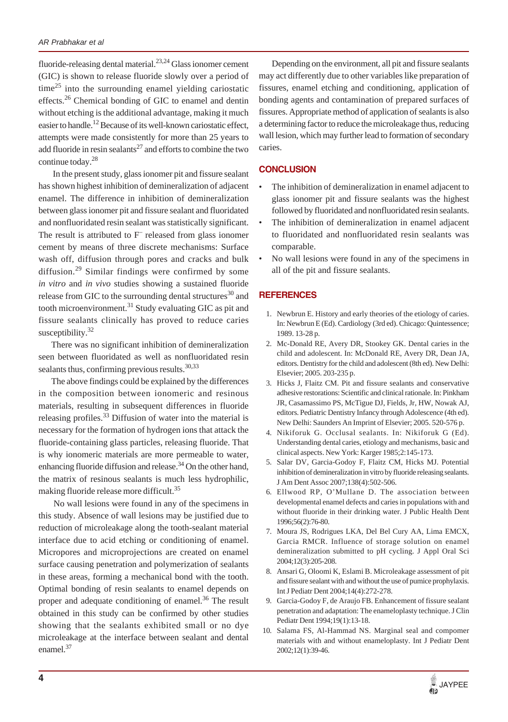fluoride-releasing dental material.23,24 Glass ionomer cement (GIC) is shown to release fluoride slowly over a period of time<sup>25</sup> into the surrounding enamel yielding cariostatic effects.26 Chemical bonding of GIC to enamel and dentin without etching is the additional advantage, making it much easier to handle.<sup>12</sup> Because of its well-known cariostatic effect, attempts were made consistently for more than 25 years to add fluoride in resin sealants<sup>27</sup> and efforts to combine the two continue today.<sup>28</sup>

 In the present study, glass ionomer pit and fissure sealant has shown highest inhibition of demineralization of adjacent enamel. The difference in inhibition of demineralization between glass ionomer pit and fissure sealant and fluoridated and nonfluoridated resin sealant was statistically significant. The result is attributed to F<sup>–</sup> released from glass ionomer cement by means of three discrete mechanisms: Surface wash off, diffusion through pores and cracks and bulk diffusion.29 Similar findings were confirmed by some *in vitro* and *in vivo* studies showing a sustained fluoride release from GIC to the surrounding dental structures $30$  and tooth microenvironment.<sup>31</sup> Study evaluating GIC as pit and fissure sealants clinically has proved to reduce caries susceptibility. $32$ 

There was no significant inhibition of demineralization seen between fluoridated as well as nonfluoridated resin sealants thus, confirming previous results.<sup>30,33</sup>

The above findings could be explained by the differences in the composition between ionomeric and resinous materials, resulting in subsequent differences in fluoride releasing profiles.<sup>33</sup> Diffusion of water into the material is necessary for the formation of hydrogen ions that attack the fluoride-containing glass particles, releasing fluoride. That is why ionomeric materials are more permeable to water, enhancing fluoride diffusion and release.<sup>34</sup> On the other hand, the matrix of resinous sealants is much less hydrophilic, making fluoride release more difficult.<sup>35</sup>

 No wall lesions were found in any of the specimens in this study. Absence of wall lesions may be justified due to reduction of microleakage along the tooth-sealant material interface due to acid etching or conditioning of enamel. Micropores and microprojections are created on enamel surface causing penetration and polymerization of sealants in these areas, forming a mechanical bond with the tooth. Optimal bonding of resin sealants to enamel depends on proper and adequate conditioning of enamel.<sup>36</sup> The result obtained in this study can be confirmed by other studies showing that the sealants exhibited small or no dye microleakage at the interface between sealant and dental enamel.<sup>37</sup>

Depending on the environment, all pit and fissure sealants may act differently due to other variables like preparation of fissures, enamel etching and conditioning, application of bonding agents and contamination of prepared surfaces of fissures. Appropriate method of application of sealants is also a determining factor to reduce the microleakage thus, reducing wall lesion, which may further lead to formation of secondary caries.

# **CONCLUSION**

- The inhibition of demineralization in enamel adjacent to glass ionomer pit and fissure sealants was the highest followed by fluoridated and nonfluoridated resin sealants.
- The inhibition of demineralization in enamel adjacent to fluoridated and nonfluoridated resin sealants was comparable.
- No wall lesions were found in any of the specimens in all of the pit and fissure sealants.

# **REFERENCES**

- 1. Newbrun E. History and early theories of the etiology of caries. In: Newbrun E (Ed). Cardiology (3rd ed). Chicago: Quintessence; 1989. 13-28 p.
- 2. Mc-Donald RE, Avery DR, Stookey GK. Dental caries in the child and adolescent. In: McDonald RE, Avery DR, Dean JA, editors. Dentistry for the child and adolescent (8th ed). New Delhi: Elsevier; 2005. 203-235 p.
- 3. Hicks J, Flaitz CM. Pit and fissure sealants and conservative adhesive restorations: Scientific and clinical rationale. In: Pinkham JR, Casamassimo PS, McTigue DJ, Fields, Jr, HW, Nowak AJ, editors. Pediatric Dentistry Infancy through Adolescence (4th ed). New Delhi: Saunders An Imprint of Elsevier; 2005. 520-576 p.
- 4. Nikiforuk G. Occlusal sealants. In: Nikiforuk G (Ed). Understanding dental caries, etiology and mechanisms, basic and clinical aspects. New York: Karger 1985;2:145-173.
- 5. Salar DV, Garcia-Godoy F, Flaitz CM, Hicks MJ. Potential inhibition of demineralization in vitro by fluoride releasing sealants. J Am Dent Assoc 2007;138(4):502-506.
- 6. Ellwood RP, O'Mullane D. The association between developmental enamel defects and caries in populations with and without fluoride in their drinking water. J Public Health Dent 1996;56(2):76-80.
- 7. Moura JS, Rodrigues LKA, Del Bel Cury AA, Lima EMCX, Garcia RMCR. Influence of storage solution on enamel demineralization submitted to pH cycling. J Appl Oral Sci 2004;12(3):205-208.
- 8. Ansari G, Oloomi K, Eslami B. Microleakage assessment of pit and fissure sealant with and without the use of pumice prophylaxis. Int J Pediatr Dent 2004;14(4):272-278.
- 9. Garcia-Godoy F, de Araujo FB. Enhancement of fissure sealant penetration and adaptation: The enameloplasty technique. J Clin Pediatr Dent 1994;19(1):13-18.
- 10. Salama FS, Al-Hammad NS. Marginal seal and compomer materials with and without enameloplasty. Int J Pediatr Dent 2002;12(1):39-46.